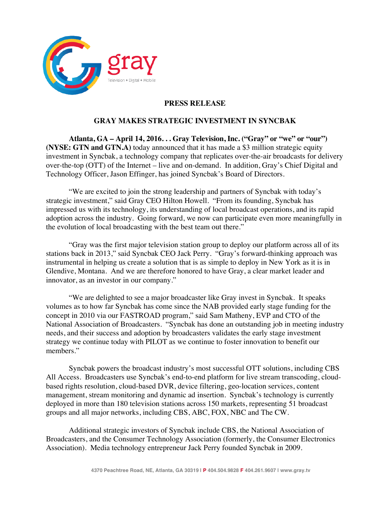

# **PRESS RELEASE**

## **GRAY MAKES STRATEGIC INVESTMENT IN SYNCBAK**

**Atlanta, GA – April 14, 2016. . . Gray Television, Inc. ("Gray" or "we" or "our") (NYSE: GTN and GTN.A)** today announced that it has made a \$3 million strategic equity investment in Syncbak, a technology company that replicates over-the-air broadcasts for delivery over-the-top (OTT) of the Internet – live and on-demand. In addition, Gray's Chief Digital and Technology Officer, Jason Effinger, has joined Syncbak's Board of Directors.

"We are excited to join the strong leadership and partners of Syncbak with today's strategic investment," said Gray CEO Hilton Howell. "From its founding, Syncbak has impressed us with its technology, its understanding of local broadcast operations, and its rapid adoption across the industry. Going forward, we now can participate even more meaningfully in the evolution of local broadcasting with the best team out there."

"Gray was the first major television station group to deploy our platform across all of its stations back in 2013," said Syncbak CEO Jack Perry. "Gray's forward-thinking approach was instrumental in helping us create a solution that is as simple to deploy in New York as it is in Glendive, Montana. And we are therefore honored to have Gray, a clear market leader and innovator, as an investor in our company."

"We are delighted to see a major broadcaster like Gray invest in Syncbak. It speaks volumes as to how far Syncbak has come since the NAB provided early stage funding for the concept in 2010 via our FASTROAD program," said Sam Matheny, EVP and CTO of the National Association of Broadcasters. "Syncbak has done an outstanding job in meeting industry needs, and their success and adoption by broadcasters validates the early stage investment strategy we continue today with PILOT as we continue to foster innovation to benefit our members."

Syncbak powers the broadcast industry's most successful OTT solutions, including CBS All Access. Broadcasters use Syncbak's end-to-end platform for live stream transcoding, cloudbased rights resolution, cloud-based DVR, device filtering, geo-location services, content management, stream monitoring and dynamic ad insertion. Syncbak's technology is currently deployed in more than 180 television stations across 150 markets, representing 51 broadcast groups and all major networks, including CBS, ABC, FOX, NBC and The CW.

Additional strategic investors of Syncbak include CBS, the National Association of Broadcasters, and the Consumer Technology Association (formerly, the Consumer Electronics Association). Media technology entrepreneur Jack Perry founded Syncbak in 2009.